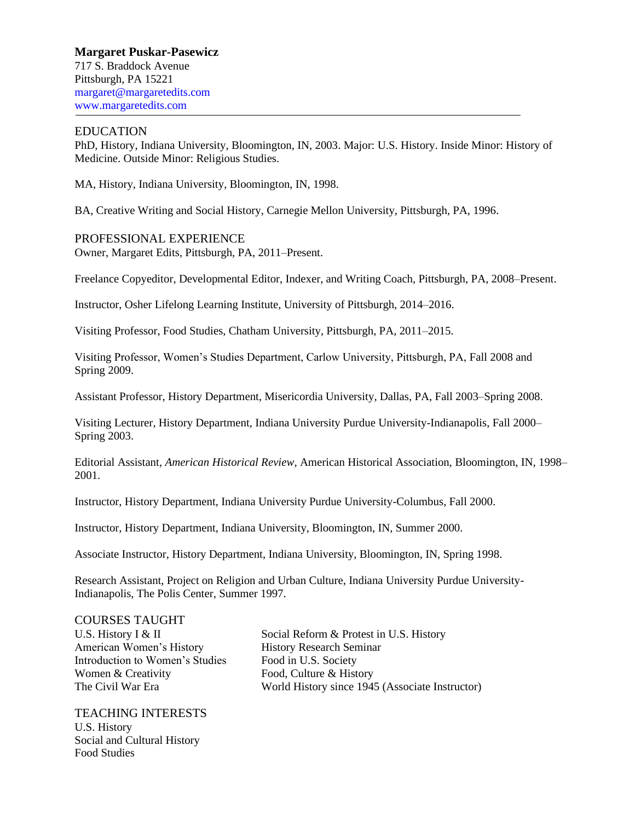**Margaret Puskar-Pasewicz** 717 S. Braddock Avenue Pittsburgh, PA 15221 [margaret@margaretedits.com](mailto:margaret@margaretedits.com) www.margaretedits.com

### EDUCATION

PhD, History, Indiana University, Bloomington, IN, 2003. Major: U.S. History. Inside Minor: History of Medicine. Outside Minor: Religious Studies.

MA, History, Indiana University, Bloomington, IN, 1998.

BA, Creative Writing and Social History, Carnegie Mellon University, Pittsburgh, PA, 1996.

PROFESSIONAL EXPERIENCE Owner, Margaret Edits, Pittsburgh, PA, 2011–Present.

Freelance Copyeditor, Developmental Editor, Indexer, and Writing Coach, Pittsburgh, PA, 2008–Present.

Instructor, Osher Lifelong Learning Institute, University of Pittsburgh, 2014–2016.

Visiting Professor, Food Studies, Chatham University, Pittsburgh, PA, 2011–2015.

Visiting Professor, Women's Studies Department, Carlow University, Pittsburgh, PA, Fall 2008 and Spring 2009.

Assistant Professor, History Department, Misericordia University, Dallas, PA, Fall 2003–Spring 2008.

Visiting Lecturer, History Department, Indiana University Purdue University-Indianapolis, Fall 2000– Spring 2003.

Editorial Assistant, *American Historical Review*, American Historical Association, Bloomington, IN, 1998– 2001.

Instructor, History Department, Indiana University Purdue University-Columbus, Fall 2000.

Instructor, History Department, Indiana University, Bloomington, IN, Summer 2000.

Associate Instructor, History Department, Indiana University, Bloomington, IN, Spring 1998.

Research Assistant, Project on Religion and Urban Culture, Indiana University Purdue University-Indianapolis, The Polis Center, Summer 1997.

### COURSES TAUGHT

American Women's History History Research Seminar Introduction to Women's Studies Food in U.S. Society Women & Creativity Food, Culture & History

TEACHING INTERESTS U.S. History Social and Cultural History Food Studies

U.S. History I & II Social Reform & Protest in U.S. History The Civil War Era World History since 1945 (Associate Instructor)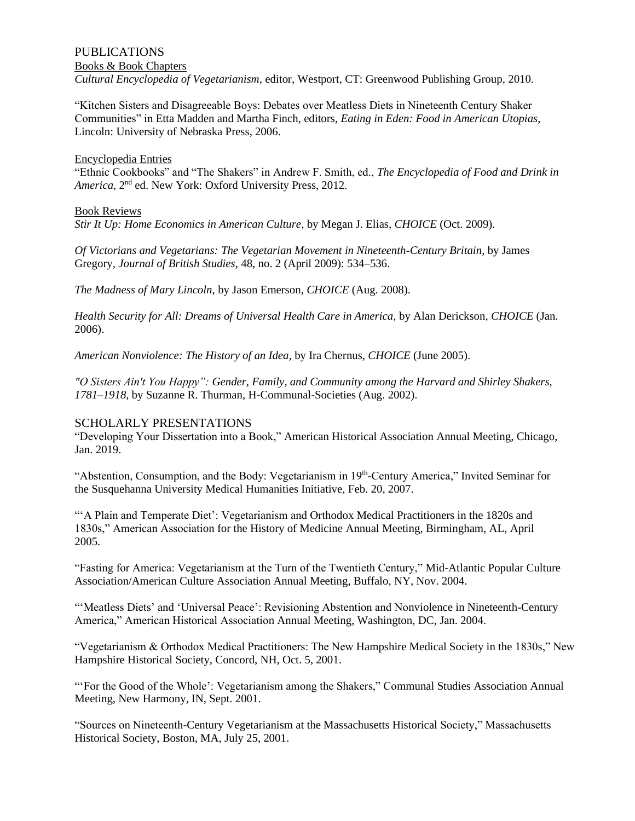## PUBLICATIONS Books & Book Chapters *Cultural Encyclopedia of Vegetarianism*, editor, Westport, CT: Greenwood Publishing Group, 2010.

"Kitchen Sisters and Disagreeable Boys: Debates over Meatless Diets in Nineteenth Century Shaker Communities" in Etta Madden and Martha Finch, editors, *Eating in Eden: Food in American Utopias*, Lincoln: University of Nebraska Press, 2006.

### Encyclopedia Entries

"Ethnic Cookbooks" and "The Shakers" in Andrew F. Smith, ed., *The Encyclopedia of Food and Drink in*  America, 2<sup>nd</sup> ed. New York: Oxford University Press, 2012.

### Book Reviews

*Stir It Up: Home Economics in American Culture*, by Megan J. Elias, *CHOICE* (Oct. 2009).

*Of Victorians and Vegetarians: The Vegetarian Movement in Nineteenth-Century Britain,* by James Gregory*, Journal of British Studies,* 48, no. 2 (April 2009): 534–536.

*The Madness of Mary Lincoln,* by Jason Emerson*, CHOICE* (Aug. 2008).

*Health Security for All: Dreams of Universal Health Care in America,* by Alan Derickson, *CHOICE* (Jan. 2006).

*American Nonviolence: The History of an Idea,* by Ira Chernus, *CHOICE* (June 2005).

*"O Sisters Ain't You Happy": Gender, Family, and Community among the Harvard and Shirley Shakers, 1781–1918,* by Suzanne R. Thurman, H-Communal-Societies (Aug. 2002).

## SCHOLARLY PRESENTATIONS

"Developing Your Dissertation into a Book," American Historical Association Annual Meeting, Chicago, Jan. 2019.

"Abstention, Consumption, and the Body: Vegetarianism in 19th-Century America," Invited Seminar for the Susquehanna University Medical Humanities Initiative, Feb. 20, 2007.

"'A Plain and Temperate Diet': Vegetarianism and Orthodox Medical Practitioners in the 1820s and 1830s," American Association for the History of Medicine Annual Meeting, Birmingham, AL, April 2005.

"Fasting for America: Vegetarianism at the Turn of the Twentieth Century," Mid-Atlantic Popular Culture Association/American Culture Association Annual Meeting, Buffalo, NY, Nov. 2004.

"'Meatless Diets' and 'Universal Peace': Revisioning Abstention and Nonviolence in Nineteenth-Century America," American Historical Association Annual Meeting, Washington, DC, Jan. 2004.

"Vegetarianism & Orthodox Medical Practitioners: The New Hampshire Medical Society in the 1830s," New Hampshire Historical Society, Concord, NH, Oct. 5, 2001.

"'For the Good of the Whole': Vegetarianism among the Shakers," Communal Studies Association Annual Meeting, New Harmony, IN, Sept. 2001.

"Sources on Nineteenth-Century Vegetarianism at the Massachusetts Historical Society," Massachusetts Historical Society, Boston, MA, July 25, 2001.